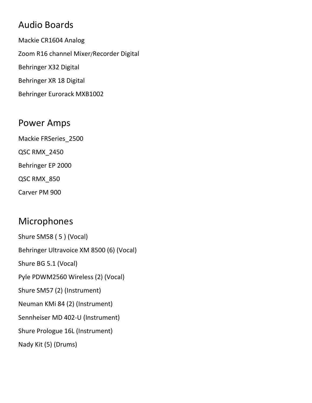## Audio Boards

Mackie CR1604 Analog Zoom R16 channel Mixer/Recorder Digital Behringer X32 Digital Behringer XR 18 Digital Behringer Eurorack MXB1002

#### Power Amps

Mackie FRSeries\_2500

QSC RMX\_2450

Behringer EP 2000

QSC RMX\_850

Carver PM 900

## Microphones

Shure SM58 ( 5 ) (Vocal) Behringer Ultravoice XM 8500 (6) (Vocal) Shure BG 5.1 (Vocal) Pyle PDWM2560 Wireless (2) (Vocal) Shure SM57 (2) (Instrument) Neuman KMi 84 (2) (Instrument) Sennheiser MD 402-U (Instrument) Shure Prologue 16L (Instrument) Nady Kit (5) (Drums)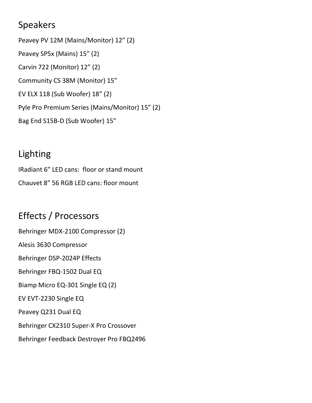### Speakers

Peavey PV 12M (Mains/Monitor) 12" (2) Peavey SP5x (Mains) 15" (2) Carvin 722 (Monitor) 12" (2) Community CS 38M (Monitor) 15" EV ELX 118 (Sub Woofer) 18" (2) Pyle Pro Premium Series (Mains/Monitor) 15" (2) Bag End S15B-D (Sub Woofer) 15"

## Lighting

IRadiant 6" LED cans: floor or stand mount Chauvet 8" 56 RGB LED cans: floor mount

# Effects / Processors

Behringer MDX-2100 Compressor (2) Alesis 3630 Compressor Behringer DSP-2024P Effects Behringer FBQ-1502 Dual EQ Biamp Micro EQ-301 Single EQ (2) EV EVT-2230 Single EQ Peavey Q231 Dual EQ Behringer CX2310 Super-X Pro Crossover Behringer Feedback Destroyer Pro FBQ2496